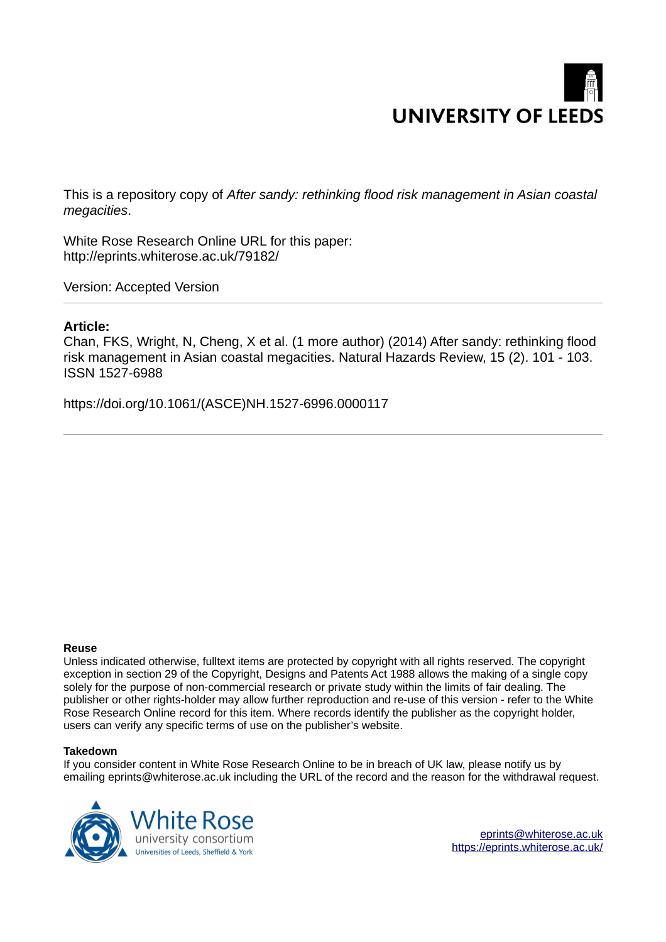# **UNIVERSITY OF LEEDS**

This is a repository copy of *After sandy: rethinking flood risk management in Asian coastal megacities*.

White Rose Research Online URL for this paper: http://eprints.whiterose.ac.uk/79182/

Version: Accepted Version

### **Article:**

Chan, FKS, Wright, N, Cheng, X et al. (1 more author) (2014) After sandy: rethinking flood risk management in Asian coastal megacities. Natural Hazards Review, 15 (2). 101 - 103. ISSN 1527-6988

https://doi.org/10.1061/(ASCE)NH.1527-6996.0000117

#### **Reuse**

Unless indicated otherwise, fulltext items are protected by copyright with all rights reserved. The copyright exception in section 29 of the Copyright, Designs and Patents Act 1988 allows the making of a single copy solely for the purpose of non-commercial research or private study within the limits of fair dealing. The publisher or other rights-holder may allow further reproduction and re-use of this version - refer to the White Rose Research Online record for this item. Where records identify the publisher as the copyright holder, users can verify any specific terms of use on the publisher's website.

#### **Takedown**

If you consider content in White Rose Research Online to be in breach of UK law, please notify us by emailing eprints@whiterose.ac.uk including the URL of the record and the reason for the withdrawal request.

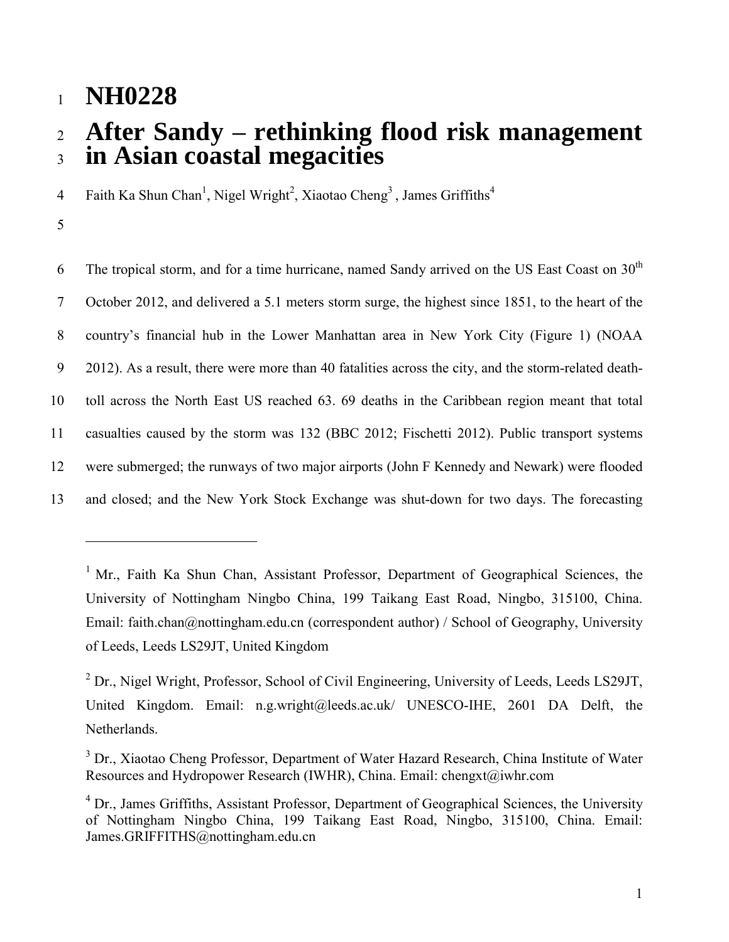## <sup>1</sup>**NH0228**

# <sup>2</sup>**After Sandy – rethinking flood risk management**  <sup>3</sup>**in Asian coastal megacities**

Faith Ka Shun Chan<sup>1</sup>, Nigel Wright<sup>2</sup>, Xiaotao Cheng<sup>3</sup>, James Griffiths<sup>4</sup> 4

5

 $\overline{a}$ 

6 The tropical storm, and for a time hurricane, named Sandy arrived on the US East Coast on  $30<sup>th</sup>$ 7 October 2012, and delivered a 5.1 meters storm surge, the highest since 1851, to the heart of the 8 country's financial hub in the Lower Manhattan area in New York City (Figure 1) (NOAA 9 2012). As a result, there were more than 40 fatalities across the city, and the storm-related death-10 toll across the North East US reached 63. 69 deaths in the Caribbean region meant that total 11 casualties caused by the storm was 132 (BBC 2012; Fischetti 2012). Public transport systems 12 were submerged; the runways of two major airports (John F Kennedy and Newark) were flooded 13 and closed; and the New York Stock Exchange was shut-down for two days. The forecasting

<sup>&</sup>lt;sup>1</sup> Mr., Faith Ka Shun Chan, Assistant Professor, Department of Geographical Sciences, the University of Nottingham Ningbo China, 199 Taikang East Road, Ningbo, 315100, China. Email: faith.chan@nottingham.edu.cn (correspondent author) / School of Geography, University of Leeds, Leeds LS29JT, United Kingdom

<sup>&</sup>lt;sup>2</sup> Dr., Nigel Wright, Professor, School of Civil Engineering, University of Leeds, Leeds LS29JT, United Kingdom. Email: n.g.wright@leeds.ac.uk/ UNESCO-IHE, 2601 DA Delft, the Netherlands.

<sup>&</sup>lt;sup>3</sup> Dr., Xiaotao Cheng Professor, Department of Water Hazard Research, China Institute of Water Resources and Hydropower Research (IWHR), China. Email: chengxt@iwhr.com

<sup>&</sup>lt;sup>4</sup> Dr., James Griffiths, Assistant Professor, Department of Geographical Sciences, the University of Nottingham Ningbo China, 199 Taikang East Road, Ningbo, 315100, China. Email: James.GRIFFITHS@nottingham.edu.cn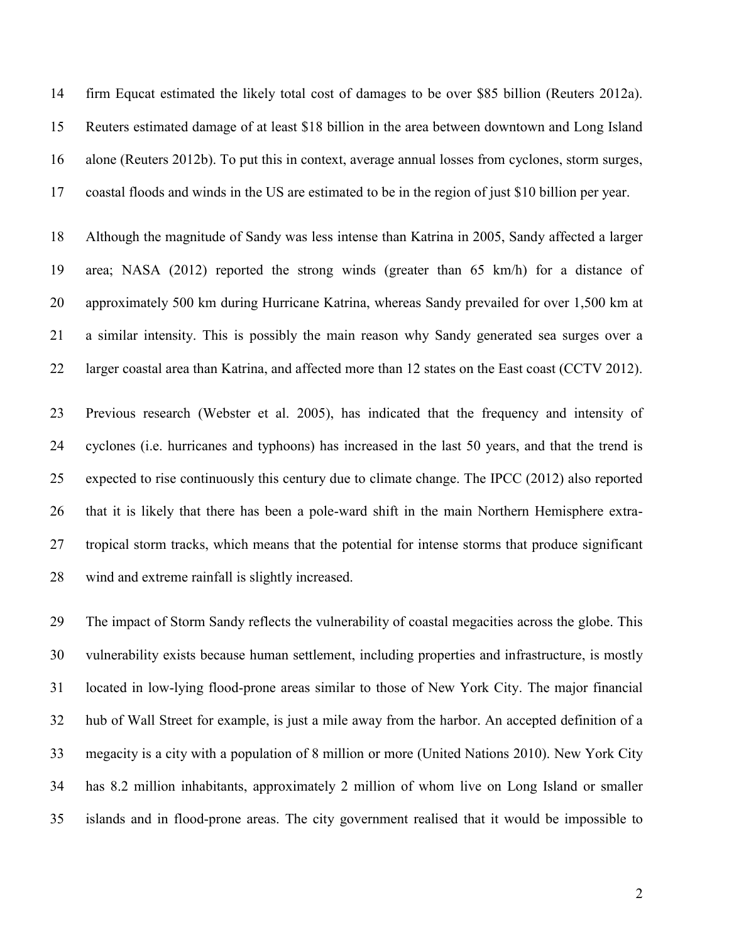14 firm Equcat estimated the likely total cost of damages to be over \$85 billion (Reuters 2012a). 15 Reuters estimated damage of at least \$18 billion in the area between downtown and Long Island 16 alone (Reuters 2012b). To put this in context, average annual losses from cyclones, storm surges, 17 coastal floods and winds in the US are estimated to be in the region of just \$10 billion per year.

18 Although the magnitude of Sandy was less intense than Katrina in 2005, Sandy affected a larger 19 area; NASA (2012) reported the strong winds (greater than 65 km/h) for a distance of 20 approximately 500 km during Hurricane Katrina, whereas Sandy prevailed for over 1,500 km at 21 a similar intensity. This is possibly the main reason why Sandy generated sea surges over a 22 larger coastal area than Katrina, and affected more than 12 states on the East coast (CCTV 2012).

23 Previous research (Webster et al. 2005), has indicated that the frequency and intensity of 24 cyclones (i.e. hurricanes and typhoons) has increased in the last 50 years, and that the trend is 25 expected to rise continuously this century due to climate change. The IPCC (2012) also reported 26 that it is likely that there has been a pole-ward shift in the main Northern Hemisphere extra-27 tropical storm tracks, which means that the potential for intense storms that produce significant 28 wind and extreme rainfall is slightly increased.

29 The impact of Storm Sandy reflects the vulnerability of coastal megacities across the globe. This 30 vulnerability exists because human settlement, including properties and infrastructure, is mostly 31 located in low-lying flood-prone areas similar to those of New York City. The major financial 32 hub of Wall Street for example, is just a mile away from the harbor. An accepted definition of a 33 megacity is a city with a population of 8 million or more (United Nations 2010). New York City 34 has 8.2 million inhabitants, approximately 2 million of whom live on Long Island or smaller 35 islands and in flood-prone areas. The city government realised that it would be impossible to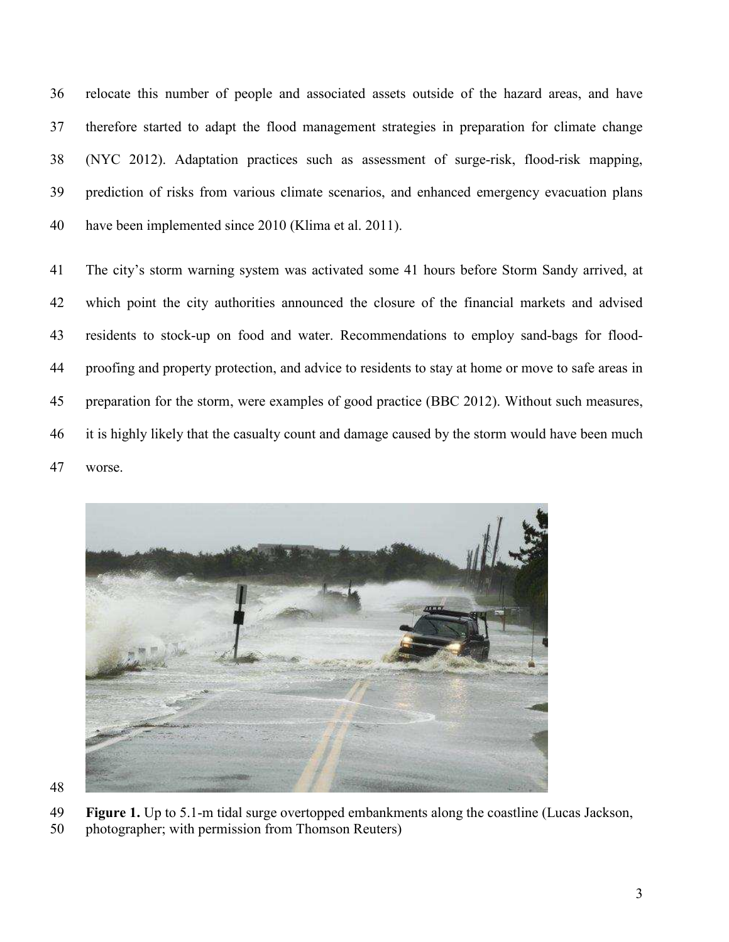36 relocate this number of people and associated assets outside of the hazard areas, and have 37 therefore started to adapt the flood management strategies in preparation for climate change 38 (NYC 2012). Adaptation practices such as assessment of surge-risk, flood-risk mapping, 39 prediction of risks from various climate scenarios, and enhanced emergency evacuation plans 40 have been implemented since 2010 (Klima et al. 2011).

41 The city's storm warning system was activated some 41 hours before Storm Sandy arrived, at 42 which point the city authorities announced the closure of the financial markets and advised 43 residents to stock-up on food and water. Recommendations to employ sand-bags for flood-44 proofing and property protection, and advice to residents to stay at home or move to safe areas in 45 preparation for the storm, were examples of good practice (BBC 2012). Without such measures, 46 it is highly likely that the casualty count and damage caused by the storm would have been much 47 worse.



48

- 49 **Figure 1.** Up to 5.1-m tidal surge overtopped embankments along the coastline (Lucas Jackson,
- 50 photographer; with permission from Thomson Reuters)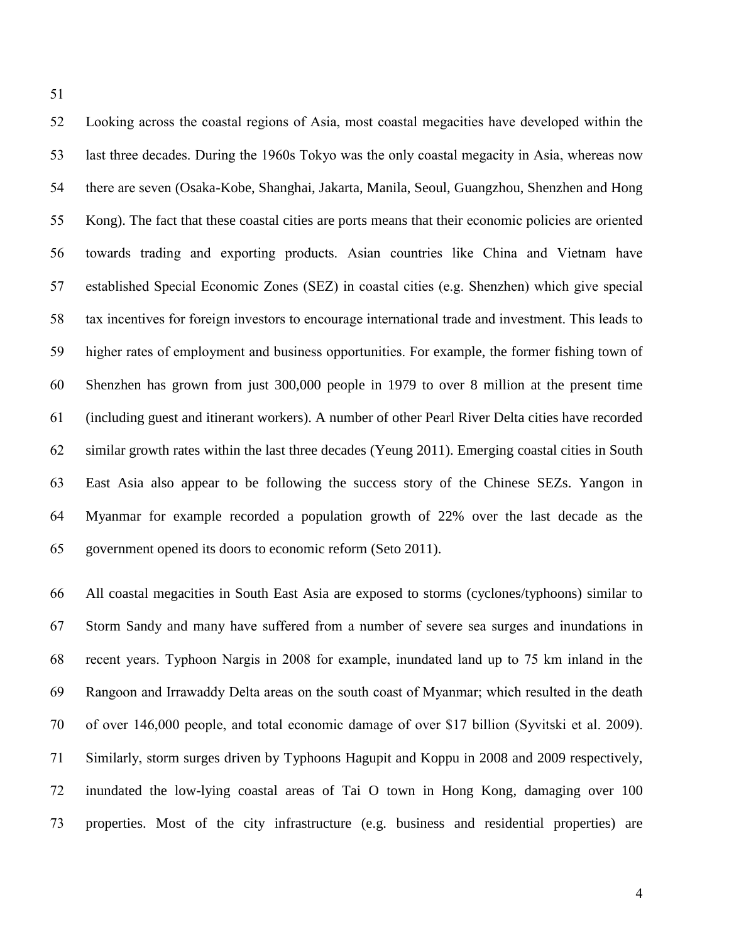51

52 Looking across the coastal regions of Asia, most coastal megacities have developed within the 53 last three decades. During the 1960s Tokyo was the only coastal megacity in Asia, whereas now 54 there are seven (Osaka-Kobe, Shanghai, Jakarta, Manila, Seoul, Guangzhou, Shenzhen and Hong 55 Kong). The fact that these coastal cities are ports means that their economic policies are oriented 56 towards trading and exporting products. Asian countries like China and Vietnam have 57 established Special Economic Zones (SEZ) in coastal cities (e.g. Shenzhen) which give special 58 tax incentives for foreign investors to encourage international trade and investment. This leads to 59 higher rates of employment and business opportunities. For example, the former fishing town of 60 Shenzhen has grown from just 300,000 people in 1979 to over 8 million at the present time 61 (including guest and itinerant workers). A number of other Pearl River Delta cities have recorded 62 similar growth rates within the last three decades (Yeung 2011). Emerging coastal cities in South 63 East Asia also appear to be following the success story of the Chinese SEZs. Yangon in 64 Myanmar for example recorded a population growth of 22% over the last decade as the 65 government opened its doors to economic reform (Seto 2011).

66 All coastal megacities in South East Asia are exposed to storms (cyclones/typhoons) similar to 67 Storm Sandy and many have suffered from a number of severe sea surges and inundations in 68 recent years. Typhoon Nargis in 2008 for example, inundated land up to 75 km inland in the 69 Rangoon and Irrawaddy Delta areas on the south coast of Myanmar; which resulted in the death 70 of over 146,000 people, and total economic damage of over \$17 billion (Syvitski et al. 2009). 71 Similarly, storm surges driven by Typhoons Hagupit and Koppu in 2008 and 2009 respectively, 72 inundated the low-lying coastal areas of Tai O town in Hong Kong, damaging over 100 73 properties. Most of the city infrastructure (e.g. business and residential properties) are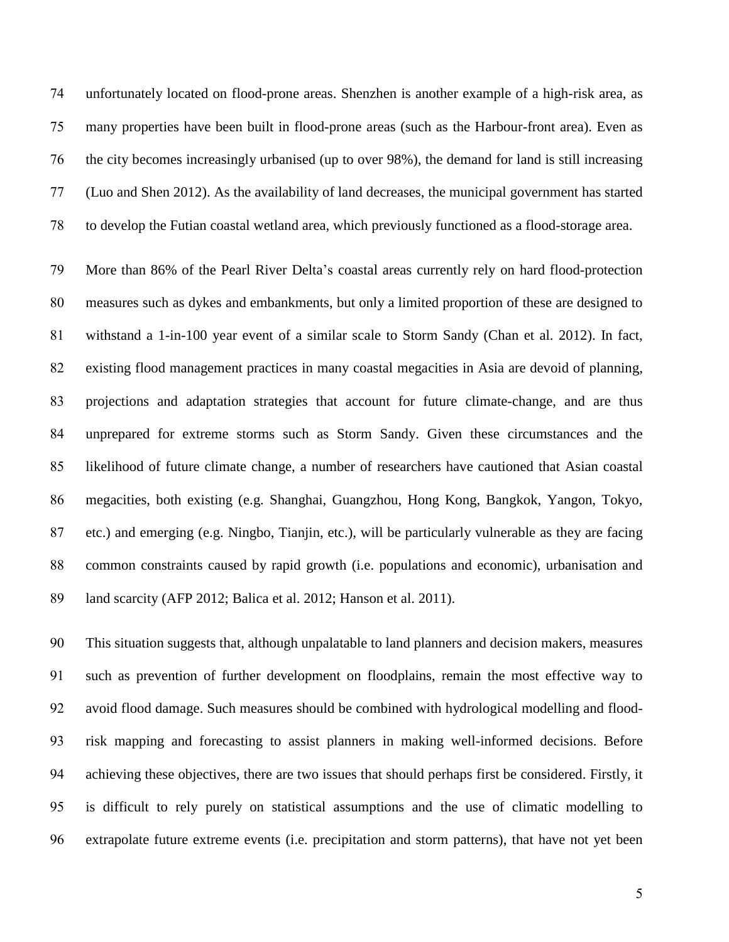unfortunately located on flood-prone areas. Shenzhen is another example of a high-risk area, as many properties have been built in flood-prone areas (such as the Harbour-front area). Even as the city becomes increasingly urbanised (up to over 98%), the demand for land is still increasing (Luo and Shen 2012). As the availability of land decreases, the municipal government has started to develop the Futian coastal wetland area, which previously functioned as a flood-storage area.

More than 86% of the Pearl River Delta's coastal areas currently rely on hard flood-protection measures such as dykes and embankments, but only a limited proportion of these are designed to withstand a 1-in-100 year event of a similar scale to Storm Sandy (Chan et al. 2012). In fact, existing flood management practices in many coastal megacities in Asia are devoid of planning, projections and adaptation strategies that account for future climate-change, and are thus unprepared for extreme storms such as Storm Sandy. Given these circumstances and the likelihood of future climate change, a number of researchers have cautioned that Asian coastal megacities, both existing (e.g. Shanghai, Guangzhou, Hong Kong, Bangkok, Yangon, Tokyo, etc.) and emerging (e.g. Ningbo, Tianjin, etc.), will be particularly vulnerable as they are facing common constraints caused by rapid growth (i.e. populations and economic), urbanisation and land scarcity (AFP 2012; Balica et al. 2012; Hanson et al. 2011).

This situation suggests that, although unpalatable to land planners and decision makers, measures such as prevention of further development on floodplains, remain the most effective way to avoid flood damage. Such measures should be combined with hydrological modelling and flood-risk mapping and forecasting to assist planners in making well-informed decisions. Before achieving these objectives, there are two issues that should perhaps first be considered. Firstly, it is difficult to rely purely on statistical assumptions and the use of climatic modelling to extrapolate future extreme events (i.e. precipitation and storm patterns), that have not yet been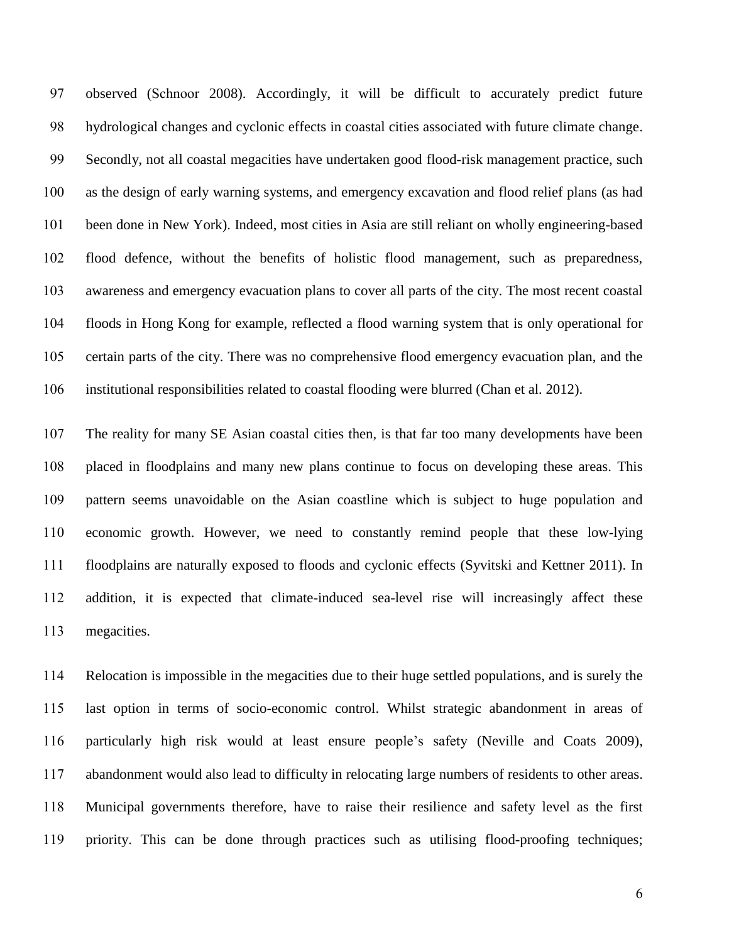observed (Schnoor 2008). Accordingly, it will be difficult to accurately predict future hydrological changes and cyclonic effects in coastal cities associated with future climate change. Secondly, not all coastal megacities have undertaken good flood-risk management practice, such as the design of early warning systems, and emergency excavation and flood relief plans (as had been done in New York). Indeed, most cities in Asia are still reliant on wholly engineering-based flood defence, without the benefits of holistic flood management, such as preparedness, awareness and emergency evacuation plans to cover all parts of the city. The most recent coastal floods in Hong Kong for example, reflected a flood warning system that is only operational for certain parts of the city. There was no comprehensive flood emergency evacuation plan, and the institutional responsibilities related to coastal flooding were blurred (Chan et al. 2012).

The reality for many SE Asian coastal cities then, is that far too many developments have been placed in floodplains and many new plans continue to focus on developing these areas. This pattern seems unavoidable on the Asian coastline which is subject to huge population and economic growth. However, we need to constantly remind people that these low-lying floodplains are naturally exposed to floods and cyclonic effects (Syvitski and Kettner 2011). In addition, it is expected that climate-induced sea-level rise will increasingly affect these megacities.

Relocation is impossible in the megacities due to their huge settled populations, and is surely the last option in terms of socio-economic control. Whilst strategic abandonment in areas of particularly high risk would at least ensure people's safety (Neville and Coats 2009), abandonment would also lead to difficulty in relocating large numbers of residents to other areas. Municipal governments therefore, have to raise their resilience and safety level as the first priority. This can be done through practices such as utilising flood-proofing techniques;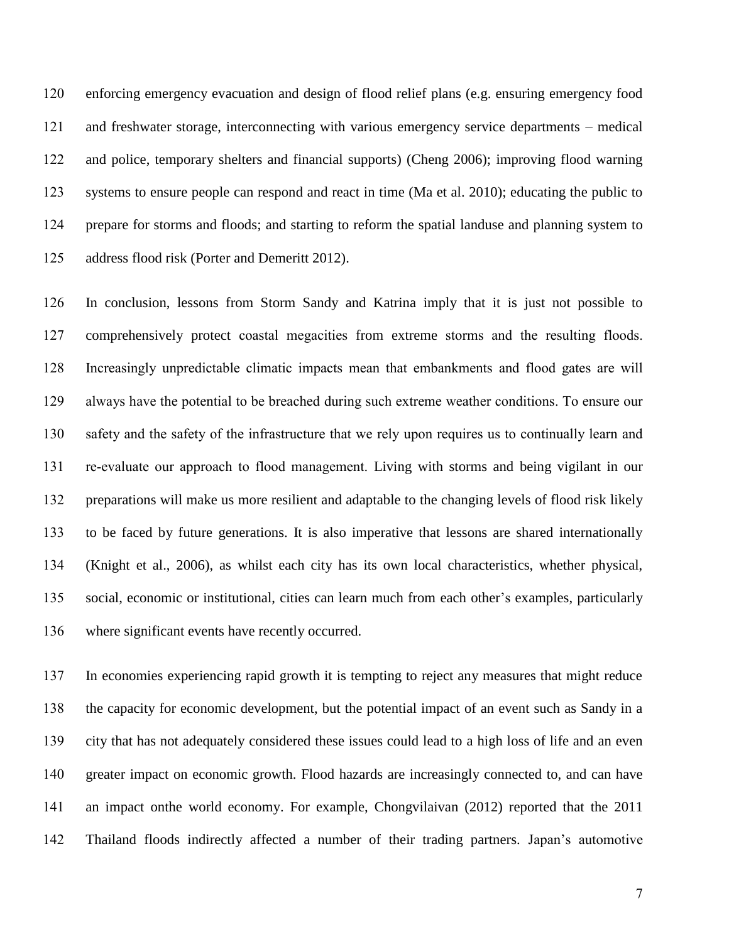enforcing emergency evacuation and design of flood relief plans (e.g. ensuring emergency food and freshwater storage, interconnecting with various emergency service departments – medical and police, temporary shelters and financial supports) (Cheng 2006); improving flood warning systems to ensure people can respond and react in time (Ma et al. 2010); educating the public to prepare for storms and floods; and starting to reform the spatial landuse and planning system to address flood risk (Porter and Demeritt 2012).

In conclusion, lessons from Storm Sandy and Katrina imply that it is just not possible to comprehensively protect coastal megacities from extreme storms and the resulting floods. 128 Increasingly unpredictable climatic impacts mean that embankments and flood gates are will 129 always have the potential to be breached during such extreme weather conditions. To ensure our 130 safety and the safety of the infrastructure that we rely upon requires us to continually learn and 131 re-evaluate our approach to flood management. Living with storms and being vigilant in our preparations will make us more resilient and adaptable to the changing levels of flood risk likely to be faced by future generations. It is also imperative that lessons are shared internationally (Knight et al., 2006), as whilst each city has its own local characteristics, whether physical, social, economic or institutional, cities can learn much from each other's examples, particularly where significant events have recently occurred.

In economies experiencing rapid growth it is tempting to reject any measures that might reduce the capacity for economic development, but the potential impact of an event such as Sandy in a city that has not adequately considered these issues could lead to a high loss of life and an even greater impact on economic growth. Flood hazards are increasingly connected to, and can have an impact onthe world economy. For example, Chongvilaivan (2012) reported that the 2011 Thailand floods indirectly affected a number of their trading partners. Japan's automotive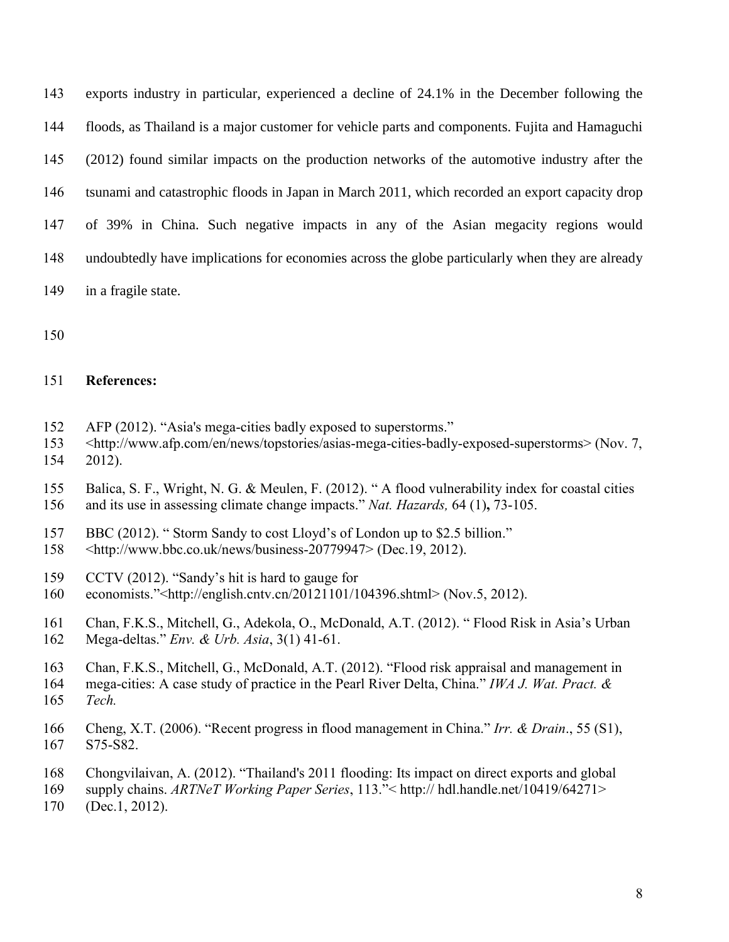exports industry in particular, experienced a decline of 24.1% in the December following the floods, as Thailand is a major customer for vehicle parts and components. Fujita and Hamaguchi (2012) found similar impacts on the production networks of the automotive industry after the tsunami and catastrophic floods in Japan in March 2011, which recorded an export capacity drop of 39% in China. Such negative impacts in any of the Asian megacity regions would undoubtedly have implications for economies across the globe particularly when they are already in a fragile state.

150

## 151 **References:**

- 152 AFP (2012). "Asia's mega-cities badly exposed to superstorms."
- 153 <http://www.afp.com/en/news/topstories/asias-mega-cities-badly-exposed-superstorms> (Nov. 7,
- 154 2012).
- 155 Balica, S. F., Wright, N. G. & Meulen, F. (2012). " A flood vulnerability index for coastal cities 156 and its use in assessing climate change impacts." *Nat. Hazards,* 64 (1)**,** 73-105.
- 157 BBC (2012). " Storm Sandy to cost Lloyd's of London up to \$2.5 billion."
- 158 <http://www.bbc.co.uk/news/business-20779947> (Dec.19, 2012).
- 159 CCTV (2012). "Sandy's hit is hard to gauge for
- 160 economists."<http://english.cntv.cn/20121101/104396.shtml> (Nov.5, 2012).
- 161 Chan, F.K.S., Mitchell, G., Adekola, O., McDonald, A.T. (2012). " Flood Risk in Asia's Urban
- 162 Mega-deltas." *Env. & Urb. Asia*, 3(1) 41-61.
- 163 Chan, F.K.S., Mitchell, G., McDonald, A.T. (2012). "Flood risk appraisal and management in
- 164 mega-cities: A case study of practice in the Pearl River Delta, China." *IWA J. Wat. Pract. &*  165 *Tech.*
- 166 Cheng, X.T. (2006). "Recent progress in flood management in China." *Irr. & Drain*., 55 (S1), 167 S75-S82.
- 168 Chongvilaivan, A. (2012). "Thailand's 2011 flooding: Its impact on direct exports and global
- 169 supply chains. *ARTNeT Working Paper Series*, 113."< http:// hdl.handle.net/10419/64271>
- 170 (Dec.1, 2012).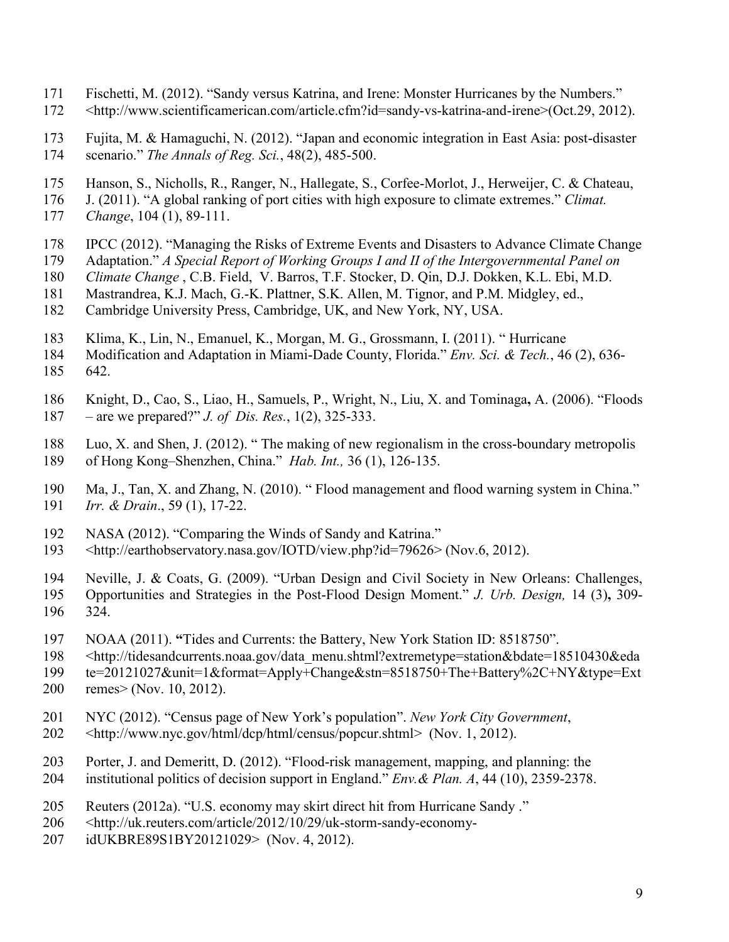- 171 Fischetti, M. (2012). "Sandy versus Katrina, and Irene: Monster Hurricanes by the Numbers."
- 172 <http://www.scientificamerican.com/article.cfm?id=sandy-vs-katrina-and-irene>(Oct.29, 2012).
- 173 Fujita, M. & Hamaguchi, N. (2012). "Japan and economic integration in East Asia: post-disaster 174 scenario." *The Annals of Reg. Sci.*, 48(2), 485-500.
- 175 Hanson, S., Nicholls, R., Ranger, N., Hallegate, S., Corfee-Morlot, J., Herweijer, C. & Chateau,
- 176 J. (2011). "A global ranking of port cities with high exposure to climate extremes." *Climat.*
- 177 *Change*, 104 (1), 89-111.
- 178 IPCC (2012). "Managing the Risks of Extreme Events and Disasters to Advance Climate Change
- 179 Adaptation." *A Special Report of Working Groups I and II of the Intergovernmental Panel on*
- 180 *Climate Change* , C.B. Field, V. Barros, T.F. Stocker, D. Qin, D.J. Dokken, K.L. Ebi, M.D.
- 181 Mastrandrea, K.J. Mach, G.-K. Plattner, S.K. Allen, M. Tignor, and P.M. Midgley, ed.,
- 182 Cambridge University Press, Cambridge, UK, and New York, NY, USA.
- 183 Klima, K., Lin, N., Emanuel, K., Morgan, M. G., Grossmann, I. (2011). " Hurricane
- 184 Modification and Adaptation in Miami-Dade County, Florida." *Env. Sci. & Tech.*, 46 (2), 636- 185 642.
- 186 Knight, D., Cao, S., Liao, H., Samuels, P., Wright, N., Liu, X. and Tominaga**,** A. (2006). "Floods 187 – are we prepared?" *J. of Dis. Res.*, 1(2), 325-333.
- 188 Luo, X. and Shen, J. (2012). " The making of new regionalism in the cross-boundary metropolis 189 of Hong Kong–Shenzhen, China." *Hab. Int.,* 36 (1), 126-135.
- 190 Ma, J., Tan, X. and Zhang, N. (2010). " Flood management and flood warning system in China."<br>191 *Irr. & Drain.*, 59 (1), 17-22. 191 *Irr. & Drain*., 59 (1), 17-22.
- 192 NASA (2012). "Comparing the Winds of Sandy and Katrina."<br>193 <http://earthobservatory.nasa.gov/IOTD/view.php?id=79626>
- 193 <http://earthobservatory.nasa.gov/IOTD/view.php?id=79626> (Nov.6, 2012).
- 194 Neville, J. & Coats, G. (2009). "Urban Design and Civil Society in New Orleans: Challenges,
- 195 Opportunities and Strategies in the Post-Flood Design Moment." *J. Urb. Design,* 14 (3)**,** 309- 196 324.
- 197 NOAA (2011). **"**Tides and Currents: the Battery, New York Station ID: 8518750".
- 198 <http://tidesandcurrents.noaa.gov/data\_menu.shtml?extremetype=station&bdate=18510430&eda
- 199 te=20121027&unit=1&format=Apply+Change&stn=8518750+The+Battery%2C+NY&type=Ext
- 200 remes> (Nov. 10, 2012).
- 201 NYC (2012). "Census page of New York's population". *New York City Government*,
- 202 <http://www.nyc.gov/html/dcp/html/census/popcur.shtml> (Nov. 1, 2012).
- 203 Porter, J. and Demeritt, D. (2012). "Flood-risk management, mapping, and planning: the
- 204 institutional politics of decision support in England." *Env.& Plan. A*, 44 (10), 2359-2378.
- 205 Reuters (2012a). "U.S. economy may skirt direct hit from Hurricane Sandy ."
- 206 <http://uk.reuters.com/article/2012/10/29/uk-storm-sandy-economy-
- 207 idUKBRE89S1BY20121029> (Nov. 4, 2012).